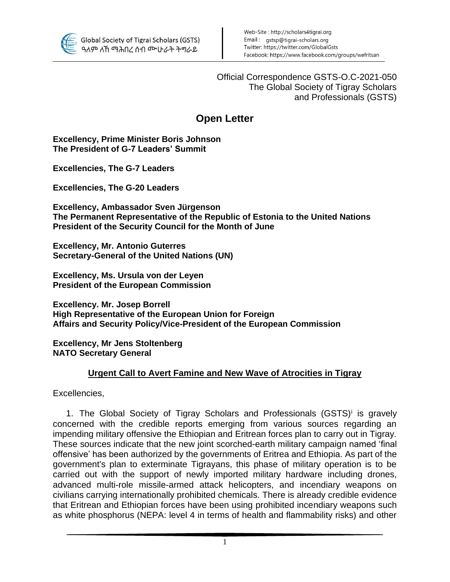

Official Correspondence GSTS-O.C-2021-050 The Global Society of Tigray Scholars and Professionals (GSTS)

## **Open Letter**

## **Excellency, Prime Minister Boris Johnson The President of G-7 Leaders' Summit**

**Excellencies, The G-7 Leaders**

**Excellencies, The G-20 Leaders** 

**Excellency, Ambassador Sven Jürgenson The Permanent Representative of the Republic of Estonia to the United Nations President of the Security Council for the Month of June**

**Excellency, Mr. Antonio Guterres Secretary-General of the United Nations (UN)**

**Excellency, Ms. Ursula von der Leyen President of the European Commission**

**Excellency. Mr. Josep Borrell High Representative of the European Union for Foreign Affairs and Security Policy/Vice-President of the European Commission**

**Excellency, Mr Jens Stoltenberg NATO Secretary General** 

## **Urgent Call to Avert Famine and New Wave of Atrocities in Tigray**

Excellencies,

1. The Global Society of Tigray Scholars and Professionals (GSTS)<sup>i</sup> is gravely concerned with the credible reports emerging from various sources regarding an impending military offensive the Ethiopian and Eritrean forces plan to carry out in Tigray. These sources indicate that the new joint scorched-earth military campaign named 'final offensive' has been authorized by the governments of Eritrea and Ethiopia. As part of the government's plan to exterminate Tigrayans, this phase of military operation is to be carried out with the support of newly imported military hardware including drones, advanced multi-role missile-armed attack helicopters, and incendiary weapons on civilians carrying internationally prohibited chemicals. There is already credible evidence that Eritrean and Ethiopian forces have been using prohibited incendiary weapons such as white phosphorus (NEPA: level 4 in terms of health and flammability risks) and other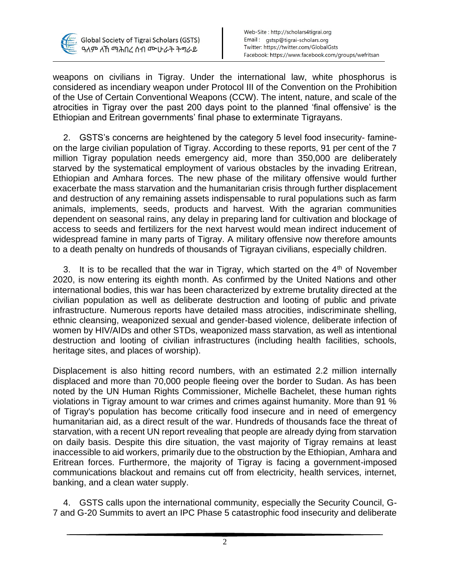

weapons on civilians in Tigray. Under the international law, white phosphorus is considered as incendiary weapon under Protocol III of the Convention on the Prohibition of the Use of Certain Conventional Weapons (CCW). The intent, nature, and scale of the atrocities in Tigray over the past 200 days point to the planned 'final offensive' is the Ethiopian and Eritrean governments' final phase to exterminate Tigrayans.

2. GSTS's concerns are heightened by the category 5 level food insecurity- famineon the large civilian population of Tigray. According to these reports, 91 per cent of the 7 million Tigray population needs emergency aid, more than 350,000 are deliberately starved by the systematical employment of various obstacles by the invading Eritrean, Ethiopian and Amhara forces. The new phase of the military offensive would further exacerbate the mass starvation and the humanitarian crisis through further displacement and destruction of any remaining assets indispensable to rural populations such as farm animals, implements, seeds, products and harvest. With the agrarian communities dependent on seasonal rains, any delay in preparing land for cultivation and blockage of access to seeds and fertilizers for the next harvest would mean indirect inducement of widespread famine in many parts of Tigray. A military offensive now therefore amounts to a death penalty on hundreds of thousands of Tigrayan civilians, especially children.

3. It is to be recalled that the war in Tigray, which started on the  $4<sup>th</sup>$  of November 2020, is now entering its eighth month. As confirmed by the United Nations and other international bodies, this war has been characterized by extreme brutality directed at the civilian population as well as deliberate destruction and looting of public and private infrastructure. Numerous reports have detailed mass atrocities, indiscriminate shelling, ethnic cleansing, weaponized sexual and gender-based violence, deliberate infection of women by HIV/AIDs and other STDs, weaponized mass starvation, as well as intentional destruction and looting of civilian infrastructures (including health facilities, schools, heritage sites, and places of worship).

Displacement is also hitting record numbers, with an estimated 2.2 million internally displaced and more than 70,000 people fleeing over the border to Sudan. As has been noted by the UN Human Rights Commissioner, Michelle Bachelet, these human rights violations in Tigray amount to war crimes and crimes against humanity. More than 91 % of Tigray's population has become critically food insecure and in need of emergency humanitarian aid, as a direct result of the war. Hundreds of thousands face the threat of starvation, with a recent UN report revealing that people are already dying from starvation on daily basis. Despite this dire situation, the vast majority of Tigray remains at least inaccessible to aid workers, primarily due to the obstruction by the Ethiopian, Amhara and Eritrean forces. Furthermore, the majority of Tigray is facing a government-imposed communications blackout and remains cut off from electricity, health services, internet, banking, and a clean water supply.

4. GSTS calls upon the international community, especially the Security Council, G-7 and G-20 Summits to avert an IPC Phase 5 catastrophic food insecurity and deliberate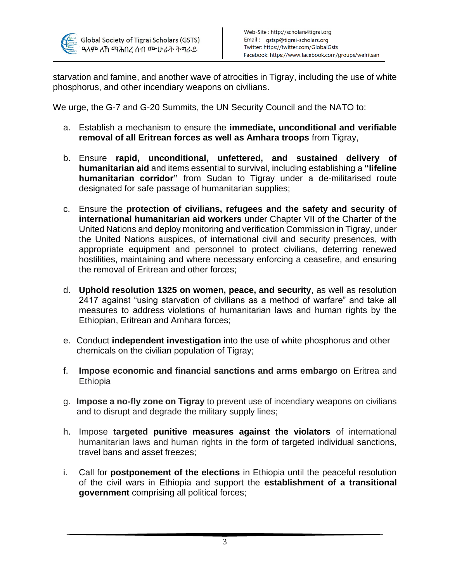

starvation and famine, and another wave of atrocities in Tigray, including the use of white phosphorus, and other incendiary weapons on civilians.

We urge, the G-7 and G-20 Summits, the UN Security Council and the NATO to:

- a. Establish a mechanism to ensure the **immediate, unconditional and verifiable removal of all Eritrean forces as well as Amhara troops** from Tigray,
- b. Ensure **rapid, unconditional, unfettered, and sustained delivery of humanitarian aid** and items essential to survival, including establishing a **"lifeline humanitarian corridor"** from Sudan to Tigray under a de-militarised route designated for safe passage of humanitarian supplies;
- c. Ensure the **protection of civilians, refugees and the safety and security of international humanitarian aid workers** under Chapter VII of the Charter of the United Nations and deploy monitoring and verification Commission in Tigray, under the United Nations auspices, of international civil and security presences, with appropriate equipment and personnel to protect civilians, deterring renewed hostilities, maintaining and where necessary enforcing a ceasefire, and ensuring the removal of Eritrean and other forces;
- d. **Uphold resolution 1325 on women, peace, and security**, as well as resolution 2417 against "using starvation of civilians as a method of warfare" and take all measures to address violations of humanitarian laws and human rights by the Ethiopian, Eritrean and Amhara forces;
- e. Conduct **independent investigation** into the use of white phosphorus and other chemicals on the civilian population of Tigray;
- f. **Impose economic and financial sanctions and arms embargo** on Eritrea and **Ethiopia**
- g. **Impose a no-fly zone on Tigray** to prevent use of incendiary weapons on civilians and to disrupt and degrade the military supply lines;
- h. Impose **targeted punitive measures against the violators** of international humanitarian laws and human rights in the form of targeted individual sanctions, travel bans and asset freezes;
- i. Call for **postponement of the elections** in Ethiopia until the peaceful resolution of the civil wars in Ethiopia and support the **establishment of a transitional government** comprising all political forces;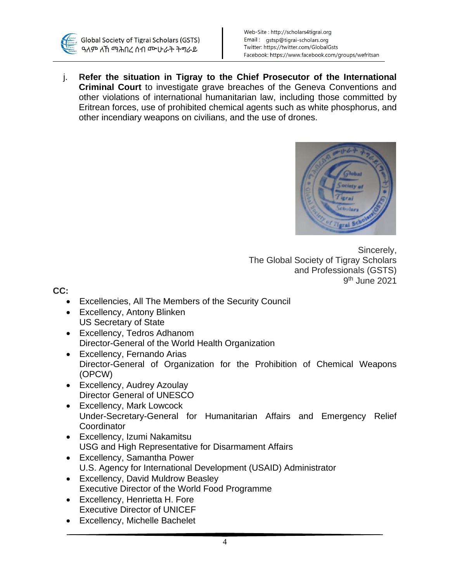

j. **Refer the situation in Tigray to the Chief Prosecutor of the International Criminal Court** to investigate grave breaches of the Geneva Conventions and other violations of international humanitarian law, including those committed by Eritrean forces, use of prohibited chemical agents such as white phosphorus, and other incendiary weapons on civilians, and the use of drones.



Sincerely, The Global Society of Tigray Scholars and Professionals (GSTS) 9 th June 2021

**CC:** 

- Excellencies, All The Members of the Security Council
- Excellency, Antony Blinken US Secretary of State
- Excellency, Tedros Adhanom Director-General of the World Health Organization
- Excellency, Fernando Arias Director-General of Organization for the Prohibition of Chemical Weapons (OPCW)
- Excellency, Audrey Azoulay Director General of UNESCO
- Excellency, Mark Lowcock Under-Secretary-General for Humanitarian Affairs and Emergency Relief **Coordinator**
- Excellency, Izumi Nakamitsu USG and High Representative for Disarmament Affairs
- Excellency, Samantha Power U.S. Agency for International Development (USAID) Administrator
- Excellency, David Muldrow Beasley Executive Director of the World Food Programme
- Excellency, Henrietta H. Fore Executive Director of UNICEF
- Excellency, Michelle Bachelet